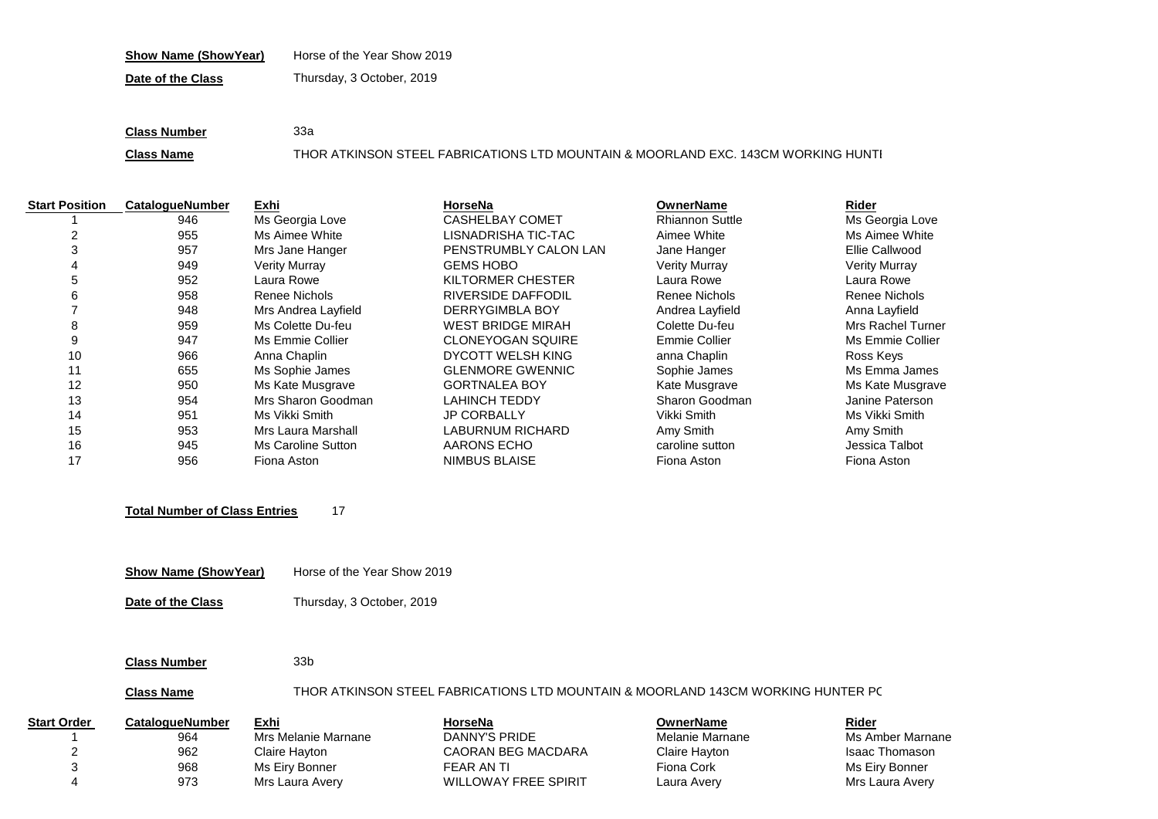### **Show Name (ShowYear)** Horse of the Year Show 2019

**Date of the Class** Thursday, 3 October, 2019

### **Class Number** 33a

**Class Name** THOR ATKINSON STEEL FABRICATIONS LTD MOUNTAIN & MOORLAND EXC. 143CM WORKING HUNTI

| <b>Start Position</b> | <b>CatalogueNumber</b> | Exhi                 | HorseNa                   | OwnerName              | Rider                |
|-----------------------|------------------------|----------------------|---------------------------|------------------------|----------------------|
|                       | 946                    | Ms Georgia Love      | <b>CASHELBAY COMET</b>    | <b>Rhiannon Suttle</b> | Ms Georgia Love      |
|                       | 955                    | Ms Aimee White       | LISNADRISHA TIC-TAC       | Aimee White            | Ms Aimee White       |
|                       | 957                    | Mrs Jane Hanger      | PENSTRUMBLY CALON LAN     | Jane Hanger            | Ellie Callwood       |
|                       | 949                    | <b>Verity Murray</b> | <b>GEMS HOBO</b>          | <b>Verity Murray</b>   | <b>Verity Murray</b> |
| b.                    | 952                    | Laura Rowe           | KILTORMER CHESTER         | Laura Rowe             | Laura Rowe           |
| h                     | 958                    | Renee Nichols        | <b>RIVERSIDE DAFFODIL</b> | Renee Nichols          | Renee Nichols        |
|                       | 948                    | Mrs Andrea Layfield  | <b>DERRYGIMBLA BOY</b>    | Andrea Layfield        | Anna Layfield        |
| 8                     | 959                    | Ms Colette Du-feu    | <b>WEST BRIDGE MIRAH</b>  | Colette Du-feu         | Mrs Rachel Turner    |
|                       | 947                    | Ms Emmie Collier     | <b>CLONEYOGAN SQUIRE</b>  | Emmie Collier          | Ms Emmie Collier     |
| 10                    | 966                    | Anna Chaplin         | <b>DYCOTT WELSH KING</b>  | anna Chaplin           | Ross Keys            |
| 11                    | 655                    | Ms Sophie James      | <b>GLENMORE GWENNIC</b>   | Sophie James           | Ms Emma James        |
| 12                    | 950                    | Ms Kate Musgrave     | <b>GORTNALEA BOY</b>      | Kate Musgrave          | Ms Kate Musgrave     |
| 13                    | 954                    | Mrs Sharon Goodman   | <b>LAHINCH TEDDY</b>      | Sharon Goodman         | Janine Paterson      |
| 14                    | 951                    | Ms Vikki Smith       | <b>JP CORBALLY</b>        | Vikki Smith            | Ms Vikki Smith       |
| 15                    | 953                    | Mrs Laura Marshall   | <b>LABURNUM RICHARD</b>   | Amy Smith              | Amy Smith            |
| 16                    | 945                    | Ms Caroline Sutton   | AARONS ECHO               | caroline sutton        | Jessica Talbot       |
| 17                    | 956                    | Fiona Aston          | <b>NIMBUS BLAISE</b>      | Fiona Aston            | Fiona Aston          |

### **Total Number of Class Entries** 17

- **Show Name (Show Year)** Horse of the Year Show 2019
- **Date of the Class** Thursday, 3 October, 2019

## **Class Number** 33b

### **Class Name** THOR ATKINSON STEEL FABRICATIONS LTD MOUNTAIN & MOORLAND 143CM WORKING HUNTER PC

|     | Exhi                   | HorseNa                     | OwnerName       | Rider           |
|-----|------------------------|-----------------------------|-----------------|-----------------|
| 964 | Mrs Melanie Marnane    | DANNY'S PRIDE               | Melanie Marnane | Ms Amber Marna  |
| 962 | Claire Hayton          | CAORAN BEG MACDARA          | Claire Hayton   | Isaac Thomason  |
| 968 | Ms Eiry Bonner         | <b>FEAR AN TI</b>           | Fiona Cork      | Ms Eiry Bonner  |
| 973 | Mrs Laura Avery        | <b>WILLOWAY FREE SPIRIT</b> | Laura Avery     | Mrs Laura Avery |
|     | <b>CatalogueNumber</b> |                             |                 |                 |

1 964 Melanie Marnane 1965 Ms Amber Marnane<br>1964 Claire Hayton 1966 Ms Assac Thomason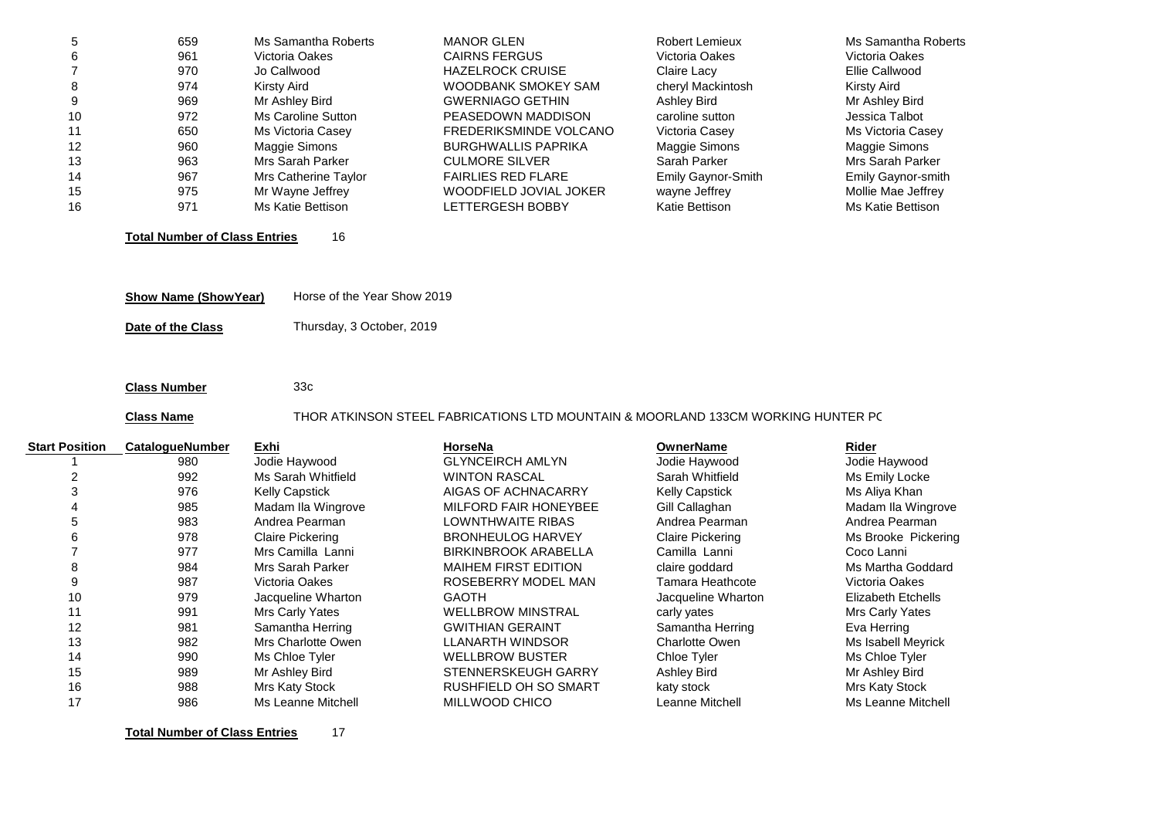| 5       | 659 | Ms Samantha Roberts      | <b>MANOR GLEN</b>          | <b>Robert Lemieux</b> | Ms Samantha Roberts |
|---------|-----|--------------------------|----------------------------|-----------------------|---------------------|
| 6       | 961 | Victoria Oakes           | <b>CAIRNS FERGUS</b>       | Victoria Oakes        | Victoria Oakes      |
|         | 970 | Jo Callwood              | <b>HAZELROCK CRUISE</b>    | Claire Lacy           | Ellie Callwood      |
| 8       | 974 | Kirsty Aird              | WOODBANK SMOKEY SAM        | cheryl Mackintosh     | Kirsty Aird         |
| 9       | 969 | Mr Ashley Bird           | <b>GWERNIAGO GETHIN</b>    | Ashley Bird           | Mr Ashley Bird      |
| 10      | 972 | Ms Caroline Sutton       | PEASEDOWN MADDISON         | caroline sutton       | Jessica Talbot      |
| 11      | 650 | Ms Victoria Casey        | FREDERIKSMINDE VOLCANO     | Victoria Casey        | Ms Victoria Casey   |
| $12 \,$ | 960 | Maggie Simons            | <b>BURGHWALLIS PAPRIKA</b> | Maggie Simons         | Maggie Simons       |
| 13      | 963 | Mrs Sarah Parker         | <b>CULMORE SILVER</b>      | Sarah Parker          | Mrs Sarah Parker    |
| 14      | 967 | Mrs Catherine Taylor     | <b>FAIRLIES RED FLARE</b>  | Emily Gaynor-Smith    | Emily Gaynor-smith  |
| 15      | 975 | Mr Wayne Jeffrey         | WOODFIELD JOVIAL JOKER     | wayne Jeffrey         | Mollie Mae Jeffrey  |
| 16      | 971 | <b>Ms Katie Bettison</b> | LETTERGESH BOBBY           | Katie Bettison        | Ms Katie Bettison   |

## **Total Number of Class Entries** 16

| Show Name (ShowYear) | Horse of the Year Show 2019 |  |  |
|----------------------|-----------------------------|--|--|
|                      |                             |  |  |

| Thursday, 3 October, 2019 |
|---------------------------|
|---------------------------|

# **Class Number** 33c

# **Class Name** THOR ATKINSON STEEL FABRICATIONS LTD MOUNTAIN & MOORLAND 133CM WORKING HUNTER PC

| <b>Start Position</b> | <b>CatalogueNumber</b> | Exhi                   | HorseNa                      | <b>OwnerName</b>      | Rider                     |
|-----------------------|------------------------|------------------------|------------------------------|-----------------------|---------------------------|
|                       | 980                    | Jodie Haywood          | <b>GLYNCEIRCH AMLYN</b>      | Jodie Haywood         | Jodie Haywood             |
|                       | 992                    | Ms Sarah Whitfield     | <b>WINTON RASCAL</b>         | Sarah Whitfield       | Ms Emily Locke            |
|                       | 976                    | <b>Kelly Capstick</b>  | AIGAS OF ACHNACARRY          | <b>Kelly Capstick</b> | Ms Aliya Khan             |
|                       | 985                    | Madam Ila Wingrove     | <b>MILFORD FAIR HONEYBEE</b> | Gill Callaghan        | Madam Ila Wingrove        |
|                       | 983                    | Andrea Pearman         | LOWNTHWAITE RIBAS            | Andrea Pearman        | Andrea Pearman            |
|                       | 978                    | Claire Pickering       | <b>BRONHEULOG HARVEY</b>     | Claire Pickering      | Ms Brooke Pickering       |
|                       | 977                    | Mrs Camilla Lanni      | <b>BIRKINBROOK ARABELLA</b>  | Camilla Lanni         | Coco Lanni                |
|                       | 984                    | Mrs Sarah Parker       | <b>MAIHEM FIRST EDITION</b>  | claire goddard        | Ms Martha Goddard         |
|                       | 987                    | Victoria Oakes         | ROSEBERRY MODEL MAN          | Tamara Heathcote      | Victoria Oakes            |
| 10                    | 979                    | Jacqueline Wharton     | <b>GAOTH</b>                 | Jacqueline Wharton    | <b>Elizabeth Etchells</b> |
| 11                    | 991                    | <b>Mrs Carly Yates</b> | <b>WELLBROW MINSTRAL</b>     | carly yates           | Mrs Carly Yates           |
| 12                    | 981                    | Samantha Herring       | <b>GWITHIAN GERAINT</b>      | Samantha Herring      | Eva Herring               |
| 13                    | 982                    | Mrs Charlotte Owen     | LLANARTH WINDSOR             | Charlotte Owen        | Ms Isabell Meyrick        |
| 14                    | 990                    | Ms Chloe Tyler         | <b>WELLBROW BUSTER</b>       | Chloe Tyler           | Ms Chloe Tyler            |
| 15                    | 989                    | Mr Ashley Bird         | STENNERSKEUGH GARRY          | Ashley Bird           | Mr Ashley Bird            |
| 16                    | 988                    | Mrs Katy Stock         | RUSHFIELD OH SO SMART        | katy stock            | Mrs Katy Stock            |
| 17                    | 986                    | Ms Leanne Mitchell     | MILLWOOD CHICO               | Leanne Mitchell       | Ms Leanne Mitchell        |

**Total Number of Class Entries** 17